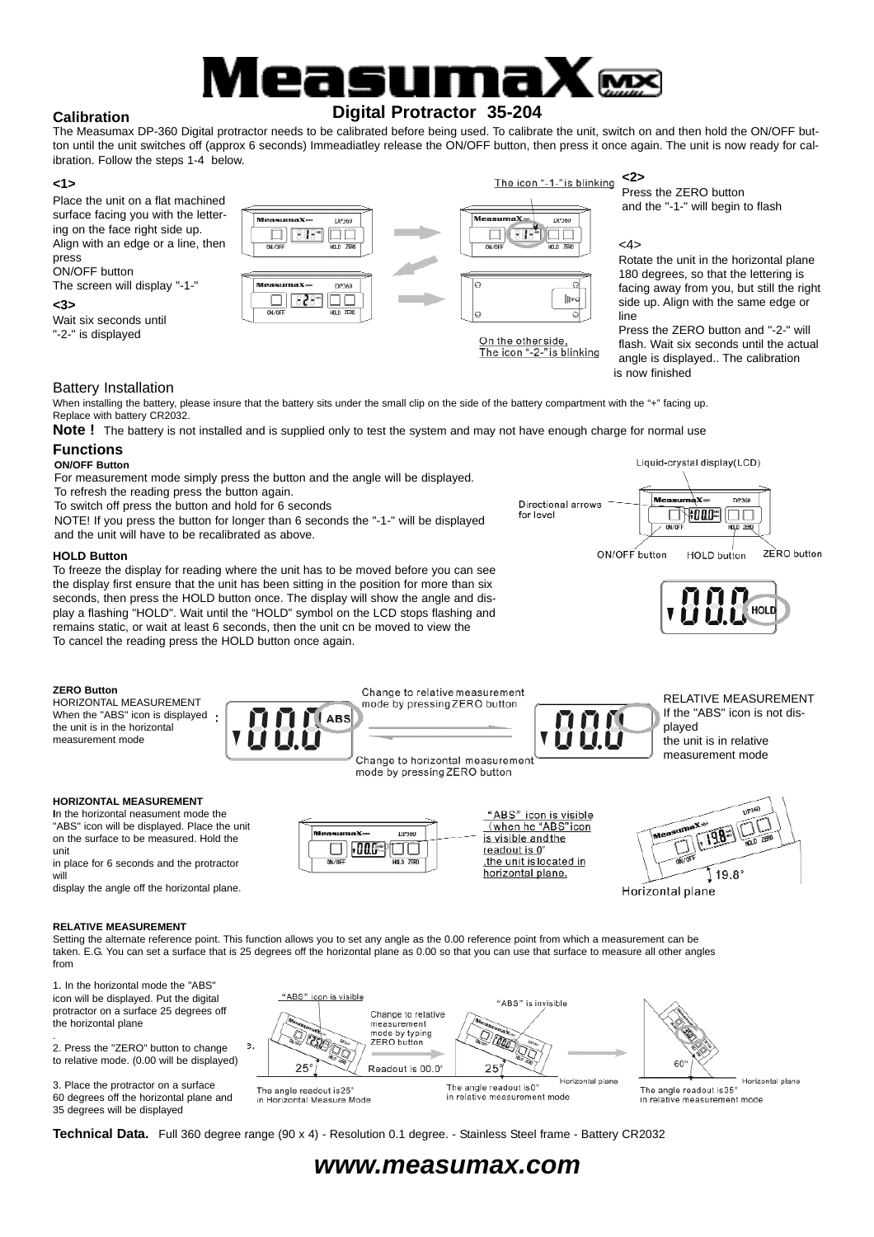# easu **Digital Protractor 35-204**

#### **Calibration**

The Measumax DP-360 Digital protractor needs to be calibrated before being used. To calibrate the unit, switch on and then hold the ON/OFF button until the unit switches off (approx 6 seconds) Immeadiatley release the ON/OFF button, then press it once again. The unit is now ready for calibration. Follow the steps 1-4 below.

#### **<1>**

Place the unit on a flat machined surface facing you with the lettering on the face right side up. Align with an edge or a line, then press ON/OFF button The screen will display "-1-"

**<3>**

Wait six seconds until "-2-" is displayed



#### **<2>** The icon "-1-" is blinking

Press the ZERO button and the "-1-" will begin to flash

#### <4>

Rotate the unit in the horizontal plane 180 degrees, so that the lettering is facing away from you, but still the right side up. Align with the same edge or line

Press the ZERO button and "-2-" will flash. Wait six seconds until the actual angle is displayed.. The calibration is now finished

Liquid-crystal display(LCD)

umàX∞

 $\Box$   $\parallel$  000  $\parallel$ 

**HOLD button** 

DP360

100

ZERO button

Me

#### Battery Installation

When installing the battery, please insure that the battery sits under the small clip on the side of the battery compartment with the "+" facing up. Replace with battery CR2032.

**Note!** The battery is not installed and is supplied only to test the system and may not have enough charge for normal use

#### **Functions ON/OFF Button**

For measurement mode simply press the button and the angle will be displayed.

To refresh the reading press the button again.

To switch off press the button and hold for 6 seconds

NOTE! If you press the button for longer than 6 seconds the "-1-" will be displayed and the unit will have to be recalibrated as above.

#### **HOLD Button**

To freeze the display for reading where the unit has to be moved before you can see the display first ensure that the unit has been sitting in the position for more than six seconds, then press the HOLD button once. The display will show the angle and display a flashing "HOLD". Wait until the "HOLD" symbol on the LCD stops flashing and remains static, or wait at least 6 seconds, then the unit cn be moved to view the To cancel the reading press the HOLD button once again.



HORIZONTAL MEASUREMENT When the "ABS" icon is displayed the unit is in the horizontal measurement mode



...v

ON/OF

 $\Box$  ,  $000$   $\Box$ 



Directional arrows

for level

"ABS" icon is visible<br>(when he "ABS" icon

the unit is located in horizontal plane.

is visible and the

readout is 0°

RELATIVE MEASUREMENT If the "ABS" icon is not dis-

#### **HORIZONTAL MEASUREMENT**

**I**n the horizontal neasument mode the "ABS" icon will be displayed. Place the unit on the surface to be measured. Hold the unit

in place for 6 seconds and the protractor will

display the angle off the horizontal plane.

#### **RELATIVE MEASUREMENT**

Setting the alternate reference point. This function allows you to set any angle as the 0.00 reference point from which a measurement can be taken. E.G. You can set a surface that is 25 degrees off the horizontal plane as 0.00 so that you can use that surface to measure all other angles from

.<br>Tips

mñ

HOLD ZERO

1. In the horizontal mode the "ABS" icon will be displayed. Put the digital protractor on a surface 25 degrees off the horizontal plane

. 2. Press the "ZERO" button to change  $\overline{a}$ to relative mode. (0.00 will be displayed)

3. Place the protractor on a surface 60 degrees off the horizontal plane and 35 degrees will be displayed

| "ABS" icon is visible<br>Change to relative<br>measurement<br>mode by typing<br>ZERO button<br>$25^\circ$<br>Readout is 00.0° | "ABS" is invisible<br>25                                                    | $60^\circ$                                                                   |
|-------------------------------------------------------------------------------------------------------------------------------|-----------------------------------------------------------------------------|------------------------------------------------------------------------------|
| The angle readout is 25°<br>in Horizontal Measure Mode                                                                        | Horizontal plane<br>The angle readout is 0°<br>in relative measurement mode | Horizontal plane<br>The angle readout is 35°<br>in relative measurement mode |

**Technical Data.** Full 360 degree range (90 x 4) - Resolution 0.1 degree. - Stainless Steel frame - Battery CR2032

## *www.measumax.com*

played the unit is in relative measurement mode

19.8

Horizontal plane

ON/OFF button